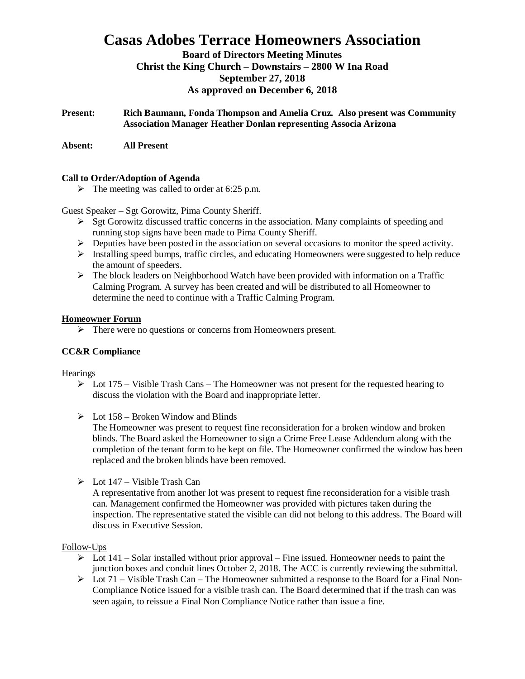# **Casas Adobes Terrace Homeowners Association**

**Board of Directors Meeting Minutes Christ the King Church – Downstairs – 2800 W Ina Road September 27, 2018 As approved on December 6, 2018**

**Present: Rich Baumann, Fonda Thompson and Amelia Cruz. Also present was Community Association Manager Heather Donlan representing Associa Arizona**

**Absent: All Present**

#### **Call to Order/Adoption of Agenda**

 $\triangleright$  The meeting was called to order at 6:25 p.m.

Guest Speaker – Sgt Gorowitz, Pima County Sheriff.

- $\triangleright$  Sgt Gorowitz discussed traffic concerns in the association. Many complaints of speeding and running stop signs have been made to Pima County Sheriff.
- $\triangleright$  Deputies have been posted in the association on several occasions to monitor the speed activity.
- $\triangleright$  Installing speed bumps, traffic circles, and educating Homeowners were suggested to help reduce the amount of speeders.
- $\triangleright$  The block leaders on Neighborhood Watch have been provided with information on a Traffic Calming Program. A survey has been created and will be distributed to all Homeowner to determine the need to continue with a Traffic Calming Program.

#### **Homeowner Forum**

Ø There were no questions or concerns from Homeowners present.

### **CC&R Compliance**

**Hearings** 

- $\triangleright$  Lot 175 Visible Trash Cans The Homeowner was not present for the requested hearing to discuss the violation with the Board and inappropriate letter.
- $\triangleright$  Lot 158 Broken Window and Blinds

The Homeowner was present to request fine reconsideration for a broken window and broken blinds. The Board asked the Homeowner to sign a Crime Free Lease Addendum along with the completion of the tenant form to be kept on file. The Homeowner confirmed the window has been replaced and the broken blinds have been removed.

 $\triangleright$  Lot 147 – Visible Trash Can

A representative from another lot was present to request fine reconsideration for a visible trash can. Management confirmed the Homeowner was provided with pictures taken during the inspection. The representative stated the visible can did not belong to this address. The Board will discuss in Executive Session.

#### Follow-Ups

- $\triangleright$  Lot 141 Solar installed without prior approval Fine issued. Homeowner needs to paint the junction boxes and conduit lines October 2, 2018. The ACC is currently reviewing the submittal.
- $\triangleright$  Lot 71 Visible Trash Can The Homeowner submitted a response to the Board for a Final Non-Compliance Notice issued for a visible trash can. The Board determined that if the trash can was seen again, to reissue a Final Non Compliance Notice rather than issue a fine.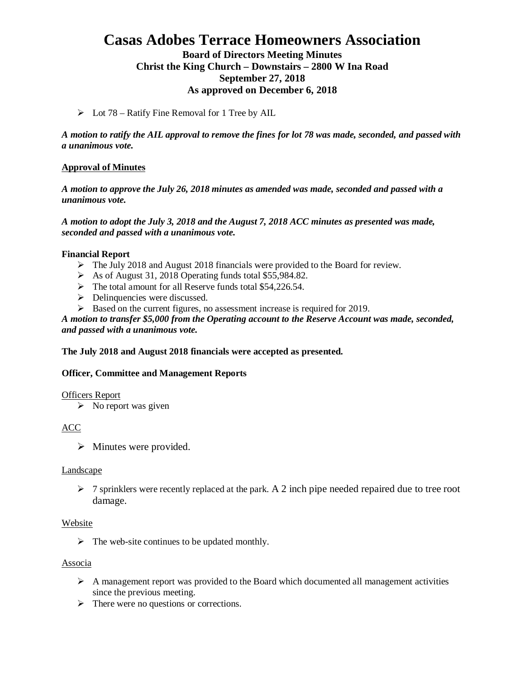# **Casas Adobes Terrace Homeowners Association**

# **Board of Directors Meeting Minutes Christ the King Church – Downstairs – 2800 W Ina Road September 27, 2018 As approved on December 6, 2018**

 $\triangleright$  Lot 78 – Ratify Fine Removal for 1 Tree by AIL

*A motion to ratify the AIL approval to remove the fines for lot 78 was made, seconded, and passed with a unanimous vote.*

## **Approval of Minutes**

*A motion to approve the July 26, 2018 minutes as amended was made, seconded and passed with a unanimous vote.*

*A motion to adopt the July 3, 2018 and the August 7, 2018 ACC minutes as presented was made, seconded and passed with a unanimous vote.*

### **Financial Report**

- $\triangleright$  The July 2018 and August 2018 financials were provided to the Board for review.
- $\triangleright$  As of August 31, 2018 Operating funds total \$55,984.82.
- $\triangleright$  The total amount for all Reserve funds total \$54,226.54.
- $\triangleright$  Delinquencies were discussed.
- $\triangleright$  Based on the current figures, no assessment increase is required for 2019.

*A motion to transfer \$5,000 from the Operating account to the Reserve Account was made, seconded, and passed with a unanimous vote.*

### **The July 2018 and August 2018 financials were accepted as presented.**

### **Officer, Committee and Management Reports**

### Officers Report

 $\triangleright$  No report was given

### ACC

 $\triangleright$  Minutes were provided.

### Landscape

 $\triangleright$  7 sprinklers were recently replaced at the park. A 2 inch pipe needed repaired due to tree root damage.

### Website

 $\triangleright$  The web-site continues to be updated monthly.

### Associa

- $\triangleright$  A management report was provided to the Board which documented all management activities since the previous meeting.
- $\triangleright$  There were no questions or corrections.